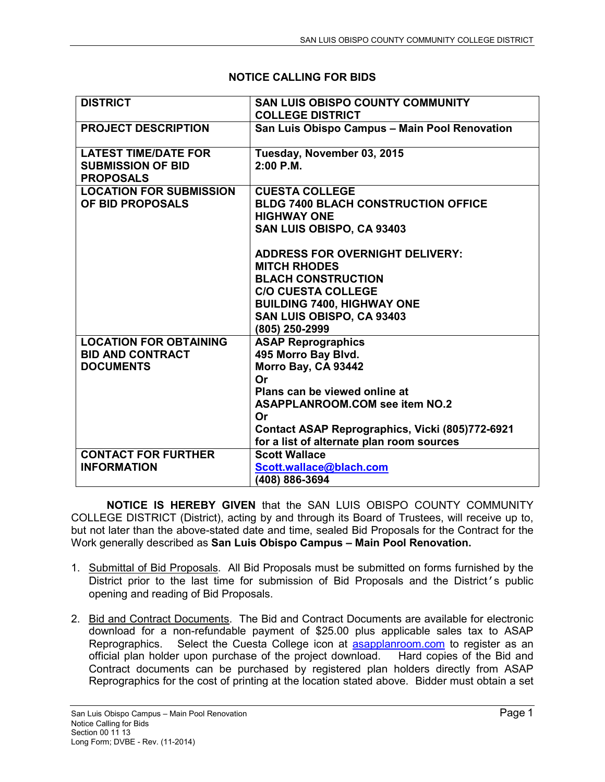## **NOTICE CALLING FOR BIDS**

| <b>DISTRICT</b>                                         | <b>SAN LUIS OBISPO COUNTY COMMUNITY</b><br><b>COLLEGE DISTRICT</b>                           |
|---------------------------------------------------------|----------------------------------------------------------------------------------------------|
| <b>PROJECT DESCRIPTION</b>                              | San Luis Obispo Campus - Main Pool Renovation                                                |
| <b>LATEST TIME/DATE FOR</b><br><b>SUBMISSION OF BID</b> | Tuesday, November 03, 2015<br>$2:00$ P.M.                                                    |
| <b>PROPOSALS</b>                                        |                                                                                              |
| <b>LOCATION FOR SUBMISSION</b>                          | <b>CUESTA COLLEGE</b>                                                                        |
| OF BID PROPOSALS                                        | <b>BLDG 7400 BLACH CONSTRUCTION OFFICE</b><br><b>HIGHWAY ONE</b>                             |
|                                                         | SAN LUIS OBISPO, CA 93403                                                                    |
|                                                         | <b>ADDRESS FOR OVERNIGHT DELIVERY:</b>                                                       |
|                                                         | <b>MITCH RHODES</b>                                                                          |
|                                                         | <b>BLACH CONSTRUCTION</b><br><b>C/O CUESTA COLLEGE</b>                                       |
|                                                         | <b>BUILDING 7400, HIGHWAY ONE</b>                                                            |
|                                                         | SAN LUIS OBISPO, CA 93403                                                                    |
|                                                         | (805) 250-2999                                                                               |
| <b>LOCATION FOR OBTAINING</b>                           | <b>ASAP Reprographics</b>                                                                    |
| <b>BID AND CONTRACT</b><br><b>DOCUMENTS</b>             | 495 Morro Bay Blvd.<br>Morro Bay, CA 93442                                                   |
|                                                         | Or                                                                                           |
|                                                         | Plans can be viewed online at                                                                |
|                                                         | <b>ASAPPLANROOM.COM see item NO.2</b>                                                        |
|                                                         | Or                                                                                           |
|                                                         | Contact ASAP Reprographics, Vicki (805)772-6921<br>for a list of alternate plan room sources |
| <b>CONTACT FOR FURTHER</b>                              | <b>Scott Wallace</b>                                                                         |
| <b>INFORMATION</b>                                      | Scott.wallace@blach.com                                                                      |
|                                                         | (408) 886-3694                                                                               |

**NOTICE IS HEREBY GIVEN** that the SAN LUIS OBISPO COUNTY COMMUNITY COLLEGE DISTRICT (District), acting by and through its Board of Trustees, will receive up to, but not later than the above-stated date and time, sealed Bid Proposals for the Contract for the Work generally described as **San Luis Obispo Campus – Main Pool Renovation.** 

- 1. Submittal of Bid Proposals. All Bid Proposals must be submitted on forms furnished by the District prior to the last time for submission of Bid Proposals and the District's public opening and reading of Bid Proposals.
- 2. Bid and Contract Documents. The Bid and Contract Documents are available for electronic download for a non-refundable payment of \$25.00 plus applicable sales tax to ASAP Reprographics. Select the Cuesta College icon at asapplanroom.com to register as an official plan holder upon purchase of the project download. Hard copies of the Bid and Contract documents can be purchased by registered plan holders directly from ASAP Reprographics for the cost of printing at the location stated above. Bidder must obtain a set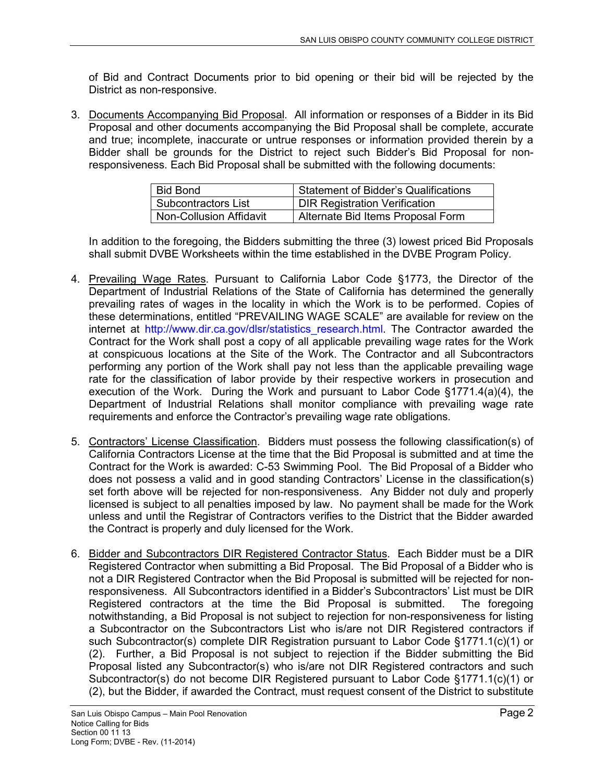of Bid and Contract Documents prior to bid opening or their bid will be rejected by the District as non-responsive.

3. Documents Accompanying Bid Proposal. All information or responses of a Bidder in its Bid Proposal and other documents accompanying the Bid Proposal shall be complete, accurate and true; incomplete, inaccurate or untrue responses or information provided therein by a Bidder shall be grounds for the District to reject such Bidder's Bid Proposal for nonresponsiveness. Each Bid Proposal shall be submitted with the following documents:

| <b>Bid Bond</b>            | <b>Statement of Bidder's Qualifications</b> |
|----------------------------|---------------------------------------------|
| <b>Subcontractors List</b> | <b>DIR Registration Verification</b>        |
| Non-Collusion Affidavit    | Alternate Bid Items Proposal Form           |

In addition to the foregoing, the Bidders submitting the three (3) lowest priced Bid Proposals shall submit DVBE Worksheets within the time established in the DVBE Program Policy.

- 4. Prevailing Wage Rates. Pursuant to California Labor Code §1773, the Director of the Department of Industrial Relations of the State of California has determined the generally prevailing rates of wages in the locality in which the Work is to be performed. Copies of these determinations, entitled "PREVAILING WAGE SCALE" are available for review on the internet at http://www.dir.ca.gov/dlsr/statistics research.html. The Contractor awarded the Contract for the Work shall post a copy of all applicable prevailing wage rates for the Work at conspicuous locations at the Site of the Work. The Contractor and all Subcontractors performing any portion of the Work shall pay not less than the applicable prevailing wage rate for the classification of labor provide by their respective workers in prosecution and execution of the Work. During the Work and pursuant to Labor Code §1771.4(a)(4), the Department of Industrial Relations shall monitor compliance with prevailing wage rate requirements and enforce the Contractor's prevailing wage rate obligations.
- 5. Contractors' License Classification. Bidders must possess the following classification(s) of California Contractors License at the time that the Bid Proposal is submitted and at time the Contract for the Work is awarded: C-53 Swimming Pool. The Bid Proposal of a Bidder who does not possess a valid and in good standing Contractors' License in the classification(s) set forth above will be rejected for non-responsiveness. Any Bidder not duly and properly licensed is subject to all penalties imposed by law. No payment shall be made for the Work unless and until the Registrar of Contractors verifies to the District that the Bidder awarded the Contract is properly and duly licensed for the Work.
- 6. Bidder and Subcontractors DIR Registered Contractor Status. Each Bidder must be a DIR Registered Contractor when submitting a Bid Proposal. The Bid Proposal of a Bidder who is not a DIR Registered Contractor when the Bid Proposal is submitted will be rejected for nonresponsiveness. All Subcontractors identified in a Bidder's Subcontractors' List must be DIR Registered contractors at the time the Bid Proposal is submitted. The foregoing notwithstanding, a Bid Proposal is not subject to rejection for non-responsiveness for listing a Subcontractor on the Subcontractors List who is/are not DIR Registered contractors if such Subcontractor(s) complete DIR Registration pursuant to Labor Code §1771.1(c)(1) or (2). Further, a Bid Proposal is not subject to rejection if the Bidder submitting the Bid Proposal listed any Subcontractor(s) who is/are not DIR Registered contractors and such Subcontractor(s) do not become DIR Registered pursuant to Labor Code §1771.1(c)(1) or (2), but the Bidder, if awarded the Contract, must request consent of the District to substitute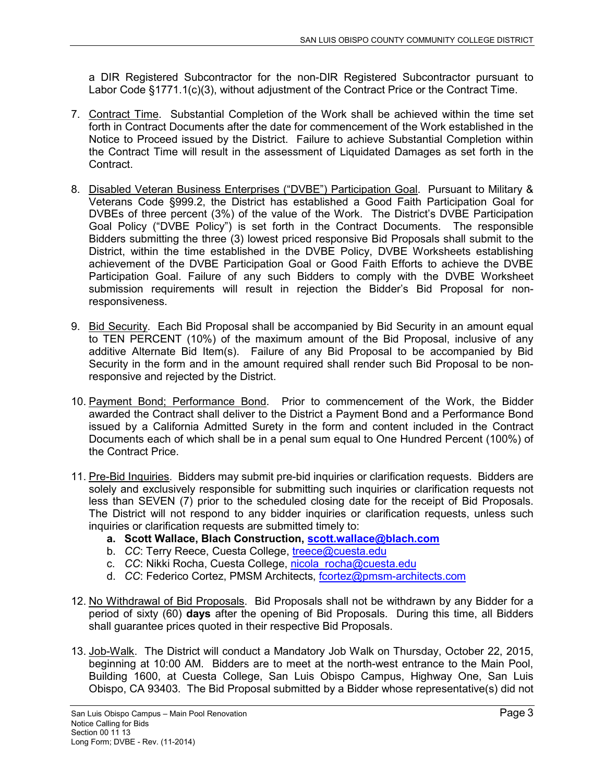a DIR Registered Subcontractor for the non-DIR Registered Subcontractor pursuant to Labor Code §1771.1(c)(3), without adjustment of the Contract Price or the Contract Time.

- 7. Contract Time. Substantial Completion of the Work shall be achieved within the time set forth in Contract Documents after the date for commencement of the Work established in the Notice to Proceed issued by the District. Failure to achieve Substantial Completion within the Contract Time will result in the assessment of Liquidated Damages as set forth in the Contract.
- 8. Disabled Veteran Business Enterprises ("DVBE") Participation Goal. Pursuant to Military & Veterans Code §999.2, the District has established a Good Faith Participation Goal for DVBEs of three percent (3%) of the value of the Work. The District's DVBE Participation Goal Policy ("DVBE Policy") is set forth in the Contract Documents. The responsible Bidders submitting the three (3) lowest priced responsive Bid Proposals shall submit to the District, within the time established in the DVBE Policy, DVBE Worksheets establishing achievement of the DVBE Participation Goal or Good Faith Efforts to achieve the DVBE Participation Goal. Failure of any such Bidders to comply with the DVBE Worksheet submission requirements will result in rejection the Bidder's Bid Proposal for nonresponsiveness.
- 9. Bid Security. Each Bid Proposal shall be accompanied by Bid Security in an amount equal to TEN PERCENT (10%) of the maximum amount of the Bid Proposal, inclusive of any additive Alternate Bid Item(s). Failure of any Bid Proposal to be accompanied by Bid Security in the form and in the amount required shall render such Bid Proposal to be nonresponsive and rejected by the District.
- 10. Payment Bond; Performance Bond. Prior to commencement of the Work, the Bidder awarded the Contract shall deliver to the District a Payment Bond and a Performance Bond issued by a California Admitted Surety in the form and content included in the Contract Documents each of which shall be in a penal sum equal to One Hundred Percent (100%) of the Contract Price.
- 11. Pre-Bid Inquiries. Bidders may submit pre-bid inquiries or clarification requests. Bidders are solely and exclusively responsible for submitting such inquiries or clarification requests not less than SEVEN (7) prior to the scheduled closing date for the receipt of Bid Proposals. The District will not respond to any bidder inquiries or clarification requests, unless such inquiries or clarification requests are submitted timely to:
	- **a. Scott Wallace, Blach Construction, scott.wallace@blach.com**
	- b. *CC*: Terry Reece, Cuesta College, treece@cuesta.edu
	- c. *CC*: Nikki Rocha, Cuesta College, nicola\_rocha@cuesta.edu
	- d. *CC*: Federico Cortez, PMSM Architects, fcortez@pmsm-architects.com
- 12. No Withdrawal of Bid Proposals. Bid Proposals shall not be withdrawn by any Bidder for a period of sixty (60) **days** after the opening of Bid Proposals. During this time, all Bidders shall guarantee prices quoted in their respective Bid Proposals.
- 13. Job-Walk. The District will conduct a Mandatory Job Walk on Thursday, October 22, 2015, beginning at 10:00 AM. Bidders are to meet at the north-west entrance to the Main Pool, Building 1600, at Cuesta College, San Luis Obispo Campus, Highway One, San Luis Obispo, CA 93403. The Bid Proposal submitted by a Bidder whose representative(s) did not